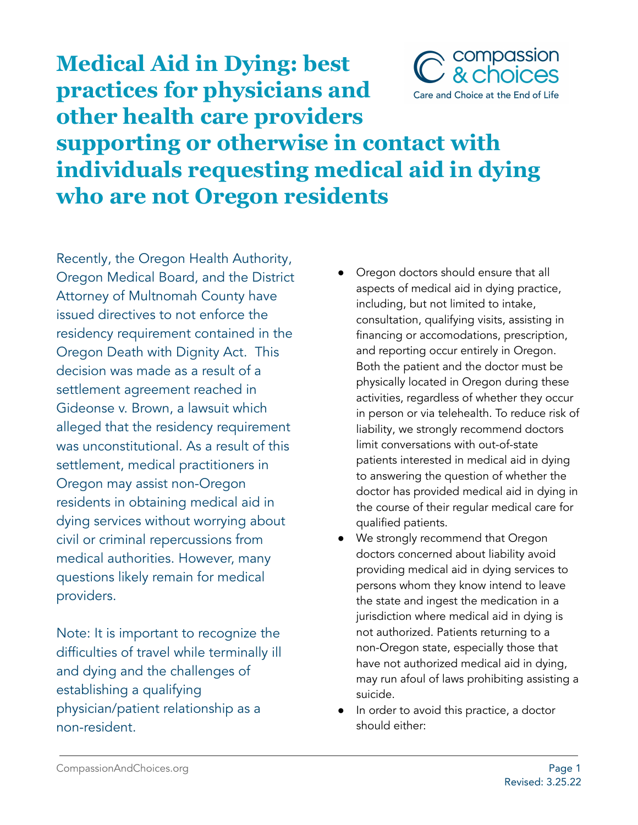

## **practices for physicians and other health care providers supporting or otherwise in contact with individuals requesting medical aid in dying who are not Oregon residents**

Recently, the Oregon Health Authority, Oregon Medical Board, and the District Attorney of Multnomah County have issued directives to not enforce the residency requirement contained in the Oregon Death with Dignity Act. This decision was made as a result of a settlement agreement reached in Gideonse v. Brown, a lawsuit which alleged that the residency requirement was unconstitutional. As a result of this settlement, medical practitioners in Oregon may assist non-Oregon residents in obtaining medical aid in dying services without worrying about civil or criminal repercussions from medical authorities. However, many questions likely remain for medical providers.

**Medical Aid in Dying: best**

Note: It is important to recognize the difficulties of travel while terminally ill and dying and the challenges of establishing a qualifying physician/patient relationship as a non-resident.

- Oregon doctors should ensure that all aspects of medical aid in dying practice, including, but not limited to intake, consultation, qualifying visits, assisting in financing or accomodations, prescription, and reporting occur entirely in Oregon. Both the patient and the doctor must be physically located in Oregon during these activities, regardless of whether they occur in person or via telehealth. To reduce risk of liability, we strongly recommend doctors limit conversations with out-of-state patients interested in medical aid in dying to answering the question of whether the doctor has provided medical aid in dying in the course of their regular medical care for qualified patients.
- We strongly recommend that Oregon doctors concerned about liability avoid providing medical aid in dying services to persons whom they know intend to leave the state and ingest the medication in a jurisdiction where medical aid in dying is not authorized. Patients returning to a non-Oregon state, especially those that have not authorized medical aid in dying, may run afoul of laws prohibiting assisting a suicide.
- In order to avoid this practice, a doctor should either: